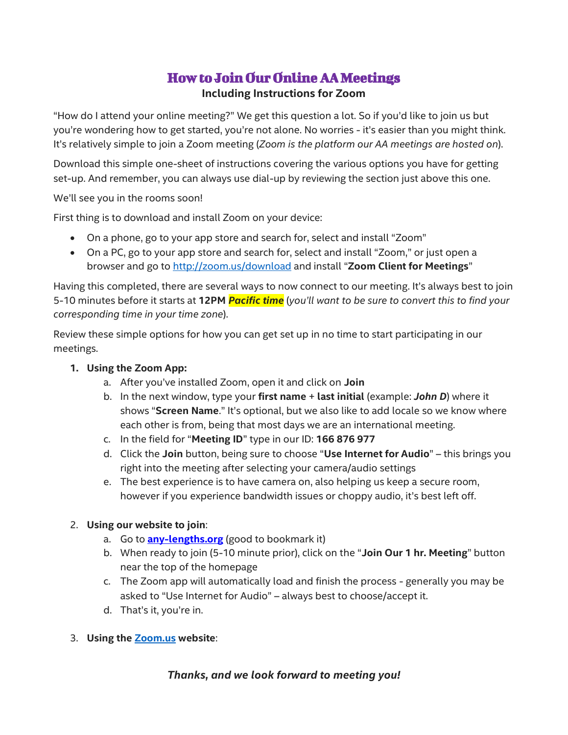## How to Join Our Online AA Meetings **Including Instructions for Zoom**

"How do I attend your online meeting?" We get this question a lot. So if you'd like to join us but you're wondering how to get started, you're not alone. No worries - it's easier than you might think. It's relatively simple to join a Zoom meeting (*Zoom is the platform our AA meetings are hosted on*).

Download this simple one-sheet of instructions covering the various options you have for getting set-up. And remember, you can always use dial-up by reviewing the section just above this one.

We'll see you in the rooms soon!

First thing is to download and install Zoom on your device:

- On a phone, go to your app store and search for, select and install "Zoom"
- On a PC, go to your app store and search for, select and install "Zoom," or just open a browser and go to<http://zoom.us/download> and install "**Zoom Client for Meetings**"

Having this completed, there are several ways to now connect to our meeting. It's always best to join 5-10 minutes before it starts at **12PM** *Pacific time* (*you'll want to be sure to convert this to find your corresponding time in your time zone*).

Review these simple options for how you can get set up in no time to start participating in our meetings.

- **1. Using the Zoom App:**
	- a. After you've installed Zoom, open it and click on **Join**
	- b. In the next window, type your **first name** + **last initial** (example: *John D*) where it shows "**Screen Name**." It's optional, but we also like to add locale so we know where each other is from, being that most days we are an international meeting.
	- c. In the field for "**Meeting ID**" type in our ID: **166 876 977**
	- d. Click the **Join** button, being sure to choose "**Use Internet for Audio**" this brings you right into the meeting after selecting your camera/audio settings
	- e. The best experience is to have camera on, also helping us keep a secure room, however if you experience bandwidth issues or choppy audio, it's best left off.

## 2. **Using our website to join**:

- a. Go to **[any-lengths.org](http://any-lengths.org/)** (good to bookmark it)
- b. When ready to join (5-10 minute prior), click on the "**Join Our 1 hr. Meeting**" button near the top of the homepage
- c. The Zoom app will automatically load and finish the process generally you may be asked to "Use Internet for Audio" – always best to choose/accept it.
- d. That's it, you're in.
- 3. **Using the [Zoom.us](http://zoom.us/) website**:

## *Thanks, and we look forward to meeting you!*